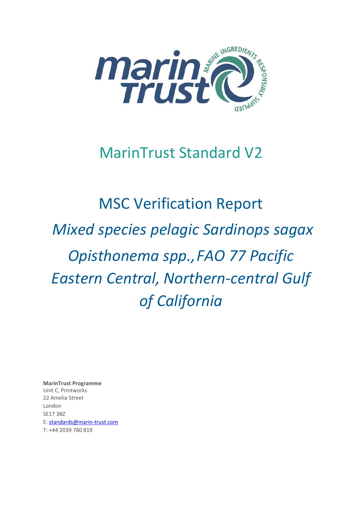

# MarinTrust Standard V2

# MSC Verification Report *Mixed species pelagic Sardinops sagax Opisthonema spp.,FAO 77 Pacific Eastern Central, Northern-central Gulf of California*

**MarinTrust Programme** Unit C, Printworks 22 Amelia Street London SE17 3BZ E: standards@marin-trust.com T: +44 2039 780 819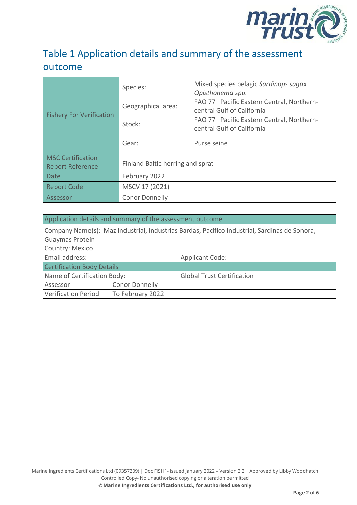

## Table 1 Application details and summary of the assessment outcome

|                                                     | Species:                         | Mixed species pelagic Sardinops sagax<br>Opisthonema spp.               |  |
|-----------------------------------------------------|----------------------------------|-------------------------------------------------------------------------|--|
| <b>Fishery For Verification</b>                     | Geographical area:               | FAO 77 Pacific Eastern Central, Northern-<br>central Gulf of California |  |
|                                                     | Stock:                           | FAO 77 Pacific Eastern Central, Northern-<br>central Gulf of California |  |
|                                                     | Gear:                            | Purse seine                                                             |  |
| <b>MSC Certification</b><br><b>Report Reference</b> | Finland Baltic herring and sprat |                                                                         |  |
| <b>Date</b>                                         | February 2022                    |                                                                         |  |
| <b>Report Code</b>                                  | MSCV 17 (2021)                   |                                                                         |  |
| Assessor                                            | <b>Conor Donnelly</b>            |                                                                         |  |

#### Application details and summary of the assessment outcome

| Company Name(s): Maz Industrial, Industrias Bardas, Pacifico Industrial, Sardinas de Sonora, |                       |                                   |  |
|----------------------------------------------------------------------------------------------|-----------------------|-----------------------------------|--|
| <b>Guaymas Protein</b>                                                                       |                       |                                   |  |
| Country: Mexico                                                                              |                       |                                   |  |
| Email address:                                                                               |                       | <b>Applicant Code:</b>            |  |
| <b>Certification Body Details</b>                                                            |                       |                                   |  |
| Name of Certification Body:                                                                  |                       | <b>Global Trust Certification</b> |  |
| Assessor                                                                                     | <b>Conor Donnelly</b> |                                   |  |
| <b>Verification Period</b>                                                                   | To February 2022      |                                   |  |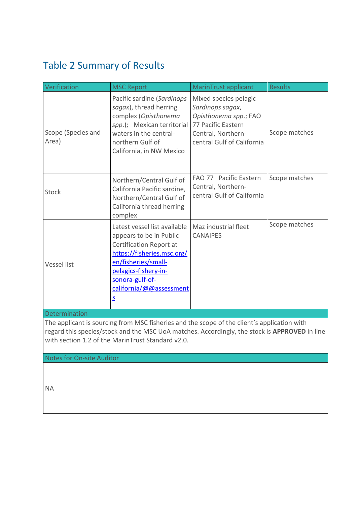# <span id="page-2-0"></span>Table 2 Summary of Results

| Verification                                                                                                                                                                                                                                                                          | <b>MSC Report</b>                                                                                                                                                                                                                        | MarinTrust applicant                                                                                                                         | <b>Results</b> |  |  |
|---------------------------------------------------------------------------------------------------------------------------------------------------------------------------------------------------------------------------------------------------------------------------------------|------------------------------------------------------------------------------------------------------------------------------------------------------------------------------------------------------------------------------------------|----------------------------------------------------------------------------------------------------------------------------------------------|----------------|--|--|
| Scope (Species and<br>Area)                                                                                                                                                                                                                                                           | Pacific sardine (Sardinops<br>sagax), thread herring<br>complex (Opisthonema<br>spp.); Mexican territorial<br>waters in the central-<br>northern Gulf of<br>California, in NW Mexico                                                     | Mixed species pelagic<br>Sardinops sagax,<br>Opisthonema spp.; FAO<br>77 Pacific Eastern<br>Central, Northern-<br>central Gulf of California | Scope matches  |  |  |
| Stock                                                                                                                                                                                                                                                                                 | Northern/Central Gulf of<br>California Pacific sardine,<br>Northern/Central Gulf of<br>California thread herring<br>complex                                                                                                              | FAO 77 Pacific Eastern<br>Central, Northern-<br>central Gulf of California                                                                   | Scope matches  |  |  |
| <b>Vessel list</b>                                                                                                                                                                                                                                                                    | Latest vessel list available<br>appears to be in Public<br>Certification Report at<br>https://fisheries.msc.org/<br>en/fisheries/small-<br>pelagics-fishery-in-<br>sonora-gulf-of-<br>california/@@assessment<br>$\overline{\mathsf{S}}$ | Maz industrial fleet<br><b>CANAIPES</b>                                                                                                      | Scope matches  |  |  |
| Determination                                                                                                                                                                                                                                                                         |                                                                                                                                                                                                                                          |                                                                                                                                              |                |  |  |
| The applicant is sourcing from MSC fisheries and the scope of the client's application with<br>regard this species/stock and the MSC UoA matches. Accordingly, the stock is APPROVED in line<br>with section 1.2 of the MarinTrust Standard v2.0.<br><b>Notes for On-site Auditor</b> |                                                                                                                                                                                                                                          |                                                                                                                                              |                |  |  |
|                                                                                                                                                                                                                                                                                       |                                                                                                                                                                                                                                          |                                                                                                                                              |                |  |  |

NA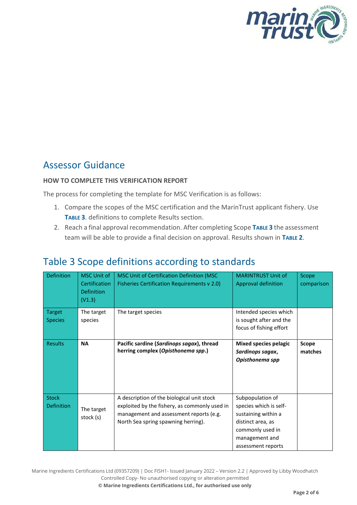

### Assessor Guidance

#### **HOW TO COMPLETE THIS VERIFICATION REPORT**

The process for completing the template for MSC Verification is as follows:

- 1. Compare the scopes of the MSC certification and the MarinTrust applicant fishery. Use **T[ABLE](#page-3-0) 3**. definitions to complete Results section.
- 2. Reach a final approval recommendation. After completing Scope **T[ABLE](#page-3-0) 3** the assessment team will be able to provide a final decision on approval. Results shown in **T[ABLE](#page-2-0) 2**.

| <b>Definition</b>                 | <b>MSC Unit of</b><br>Certification<br><b>Definition</b><br>(V1.3) | MSC Unit of Certification Definition (MSC<br>Fisheries Certification Requirements v 2.0)                                                                                      | <b>MARINTRUST Unit of</b><br>Approval definition                                                                                                   | Scope<br>comparison |
|-----------------------------------|--------------------------------------------------------------------|-------------------------------------------------------------------------------------------------------------------------------------------------------------------------------|----------------------------------------------------------------------------------------------------------------------------------------------------|---------------------|
| <b>Target</b><br><b>Species</b>   | The target<br>species                                              | The target species                                                                                                                                                            | Intended species which<br>is sought after and the<br>focus of fishing effort                                                                       |                     |
| <b>Results</b>                    | <b>NA</b>                                                          | Pacific sardine (Sardinops sagax), thread<br>herring complex (Opisthonema spp.)                                                                                               | Mixed species pelagic<br>Sardinops sagax,<br>Opisthonema spp                                                                                       | Scope<br>matches    |
| <b>Stock</b><br><b>Definition</b> | The target<br>stock (s)                                            | A description of the biological unit stock<br>exploited by the fishery, as commonly used in<br>management and assessment reports (e.g.<br>North Sea spring spawning herring). | Subpopulation of<br>species which is self-<br>sustaining within a<br>distinct area, as<br>commonly used in<br>management and<br>assessment reports |                     |

## <span id="page-3-0"></span>Table 3 Scope definitions according to standards

Marine Ingredients Certifications Ltd (09357209) | Doc FISH1- Issued January 2022 – Version 2.2 | Approved by Libby Woodhatch Controlled Copy- No unauthorised copying or alteration permitted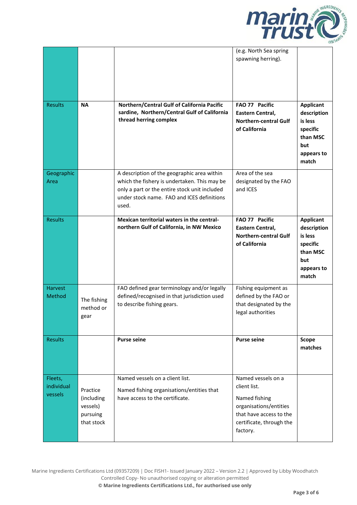

|                                  |                                                              |                                                                                                                                                                                                     | (e.g. North Sea spring<br>spawning herring).                                                                                                     |                                                                                                  |
|----------------------------------|--------------------------------------------------------------|-----------------------------------------------------------------------------------------------------------------------------------------------------------------------------------------------------|--------------------------------------------------------------------------------------------------------------------------------------------------|--------------------------------------------------------------------------------------------------|
| <b>Results</b>                   | <b>NA</b>                                                    | Northern/Central Gulf of California Pacific<br>sardine, Northern/Central Gulf of California<br>thread herring complex                                                                               | FAO 77 Pacific<br>Eastern Central,<br><b>Northern-central Gulf</b><br>of California                                                              | <b>Applicant</b><br>description<br>is less<br>specific<br>than MSC<br>but<br>appears to<br>match |
| Geographic<br>Area               |                                                              | A description of the geographic area within<br>which the fishery is undertaken. This may be<br>only a part or the entire stock unit included<br>under stock name. FAO and ICES definitions<br>used. | Area of the sea<br>designated by the FAO<br>and ICES                                                                                             |                                                                                                  |
| <b>Results</b>                   |                                                              | Mexican territorial waters in the central-<br>northern Gulf of California, in NW Mexico                                                                                                             | FAO 77 Pacific<br>Eastern Central,<br><b>Northern-central Gulf</b><br>of California                                                              | <b>Applicant</b><br>description<br>is less<br>specific<br>than MSC<br>but<br>appears to<br>match |
| <b>Harvest</b><br>Method         | The fishing<br>method or<br>gear                             | FAO defined gear terminology and/or legally<br>defined/recognised in that jurisdiction used<br>to describe fishing gears.                                                                           | Fishing equipment as<br>defined by the FAO or<br>that designated by the<br>legal authorities                                                     |                                                                                                  |
| <b>Results</b>                   |                                                              | <b>Purse seine</b>                                                                                                                                                                                  | <b>Purse seine</b>                                                                                                                               | <b>Scope</b><br>matches                                                                          |
| Fleets,<br>individual<br>vessels | Practice<br>(including<br>vessels)<br>pursuing<br>that stock | Named vessels on a client list.<br>Named fishing organisations/entities that<br>have access to the certificate.                                                                                     | Named vessels on a<br>client list.<br>Named fishing<br>organisations/entities<br>that have access to the<br>certificate, through the<br>factory. |                                                                                                  |

Marine Ingredients Certifications Ltd (09357209) | Doc FISH1- Issued January 2022 – Version 2.2 | Approved by Libby Woodhatch Controlled Copy- No unauthorised copying or alteration permitted **© Marine Ingredients Certifications Ltd., for authorised use only**